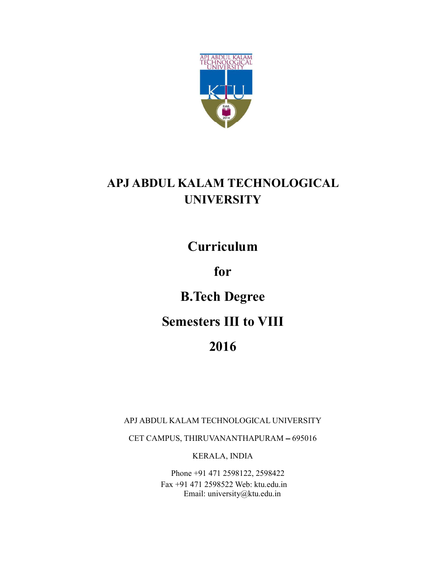

## **APJ ABDUL KALAM TECHNOLOGICAL UNIVERSITY**

**Curriculum** 

## **for**

# **B.Tech Degree**

## **Semesters III to VIII**

## **2016**

APJ ABDUL KALAM TECHNOLOGICAL UNIVERSITY

CET CAMPUS, THIRUVANANTHAPURAM - 695016

KERALA, INDIA

Phone +91 471 2598122, 2598422 Fax +91 471 2598522 Web: ktu.edu.in Email: university@ktu.edu.in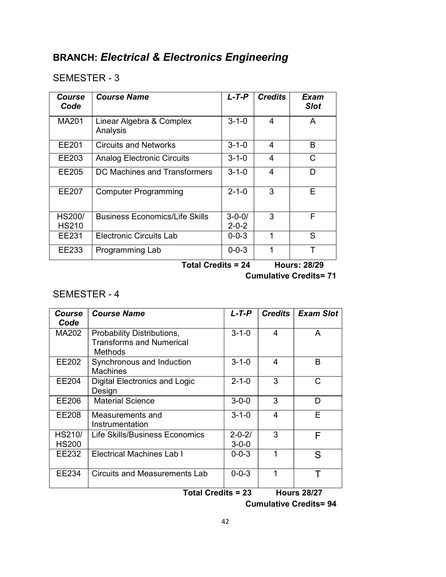#### SEMESTER - 3

| Course<br>Code                | <b>Course Name</b>                    | $L$ -T-P                    | <b>Credits</b> | Exam<br><b>Slot</b> |
|-------------------------------|---------------------------------------|-----------------------------|----------------|---------------------|
| <b>MA201</b>                  | Linear Algebra & Complex<br>Analysis  | $3 - 1 - 0$                 | 4              | A                   |
| EE201                         | <b>Circuits and Networks</b>          | $3 - 1 - 0$                 | 4              | B                   |
| EE203                         | <b>Analog Electronic Circuits</b>     | $3 - 1 - 0$                 | 4              | C                   |
| EE205                         | DC Machines and Transformers          | $3 - 1 - 0$                 | 4              | D                   |
| EE207                         | <b>Computer Programming</b>           | $2 - 1 - 0$                 | 3              | Е                   |
| <b>HS200/</b><br><b>HS210</b> | <b>Business Economics/Life Skills</b> | $3 - 0 - 0/$<br>$2 - 0 - 2$ | 3              | F                   |
| EE231                         | <b>Electronic Circuits Lab</b>        | $0 - 0 - 3$                 | 1              | S                   |
| EE233                         | Programming Lab                       | $0 - 0 - 3$                 | 1              |                     |

**Total Credits = 24 Hours: 28/29** 

 **Cumulative Credits= 71** 

#### SEMESTER - 4

| Course<br>Code                | <b>Course Name</b>                                                       | L-T-P                       | <b>Credits</b> | <b>Exam Slot</b>   |
|-------------------------------|--------------------------------------------------------------------------|-----------------------------|----------------|--------------------|
| MA202                         | Probability Distributions,<br><b>Transforms and Numerical</b><br>Methods | $3 - 1 - 0$                 | 4              | A                  |
| EE202                         | Synchronous and Induction<br><b>Machines</b>                             | $3 - 1 - 0$                 | 4              | B                  |
| <b>EE204</b>                  | Digital Electronics and Logic<br>Design                                  | $2 - 1 - 0$                 | 3              | C                  |
| EE206                         | <b>Material Science</b>                                                  | $3 - 0 - 0$                 | 3              | D                  |
| <b>EE208</b>                  | Measurements and<br>Instrumentation                                      | $3 - 1 - 0$                 | 4              | E                  |
| <b>HS210/</b><br><b>HS200</b> | Life Skills/Business Economics                                           | $2 - 0 - 2/$<br>$3 - 0 - 0$ | 3              | F                  |
| EE232                         | <b>Electrical Machines Lab I</b>                                         | $0 - 0 - 3$                 | 1              | S                  |
| EE234                         | <b>Circuits and Measurements Lab</b>                                     | $0 - 0 - 3$                 | 1              | т                  |
| <b>Total Credits = 23</b>     |                                                                          |                             |                | <b>Hours 28/27</b> |

 **Cumulative Credits= 94**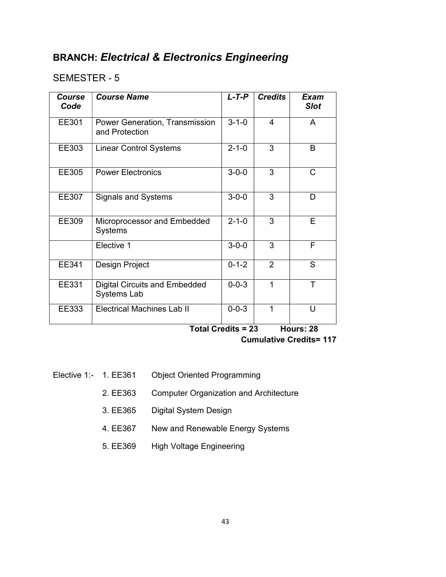#### SEMESTER - 5

| Course<br>Code | <b>Course Name</b>                                  | $L$ -T-P    | <b>Credits</b> | Exam<br><b>Slot</b> |
|----------------|-----------------------------------------------------|-------------|----------------|---------------------|
| EE301          | Power Generation, Transmission<br>and Protection    | $3 - 1 - 0$ | 4              | A                   |
| EE303          | <b>Linear Control Systems</b>                       | $2 - 1 - 0$ | 3              | B                   |
| EE305          | <b>Power Electronics</b>                            | $3 - 0 - 0$ | 3              | C                   |
| EE307          | <b>Signals and Systems</b>                          | $3 - 0 - 0$ | 3              | D                   |
| EE309          | Microprocessor and Embedded<br><b>Systems</b>       | $2 - 1 - 0$ | 3              | E                   |
|                | Elective 1                                          | $3 - 0 - 0$ | 3              | F                   |
| EE341          | Design Project                                      | $0 - 1 - 2$ | $\overline{2}$ | S                   |
| EE331          | <b>Digital Circuits and Embedded</b><br>Systems Lab | $0 - 0 - 3$ | 1              | T                   |
| EE333          | <b>Electrical Machines Lab II</b>                   | $0 - 0 - 3$ |                | U                   |

**Total Credits = 23 Hours: 28** 

 **Cumulative Credits= 117** 

- Elective 1:- 1. EE361 Object Oriented Programming
	- 2. EE363 Computer Organization and Architecture
	- 3. EE365 Digital System Design
	- 4. EE367 New and Renewable Energy Systems
	- 5. EE369 High Voltage Engineering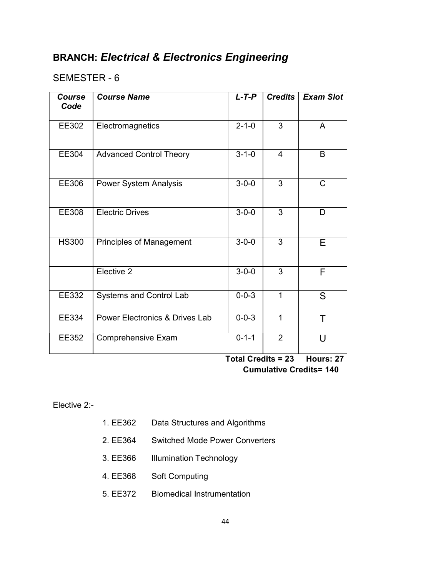#### SEMESTER - 6

| <b>Course</b><br>Code | <b>Course Name</b>              | $L$ -T-P                             | <b>Credits</b> | <b>Exam Slot</b>    |
|-----------------------|---------------------------------|--------------------------------------|----------------|---------------------|
| EE302                 | Electromagnetics                | $2 - 1 - 0$                          | 3              | A                   |
| EE304                 | <b>Advanced Control Theory</b>  | $3 - 1 - 0$                          | $\overline{4}$ | B                   |
| EE306                 | Power System Analysis           | $3 - 0 - 0$                          | $\overline{3}$ | $\mathsf{C}$        |
| EE308                 | <b>Electric Drives</b>          | $3 - 0 - 0$                          | 3              | D                   |
| <b>HS300</b>          | <b>Principles of Management</b> | $3 - 0 - 0$                          | $\overline{3}$ | E                   |
|                       | Elective 2                      | $3 - 0 - 0$                          | 3              | F                   |
| EE332                 | Systems and Control Lab         | $0 - 0 - 3$                          | 1              | S.                  |
| EE334                 | Power Electronics & Drives Lab  | $0 - 0 - 3$                          | 1              | Τ                   |
| EE352                 | Comprehensive Exam              | $0 - 1 - 1$<br>$T$ atal Cuadita — 02 | $\overline{2}$ | U<br><u> Нашиот</u> |

 **Total Credits = 23 Hours: 27 Cumulative Credits= 140** 

Elective 2:-

- 1. EE362 Data Structures and Algorithms
- 2. EE364 Switched Mode Power Converters
- 3. EE366 Illumination Technology
- 4. EE368 Soft Computing
- 5. EE372 Biomedical Instrumentation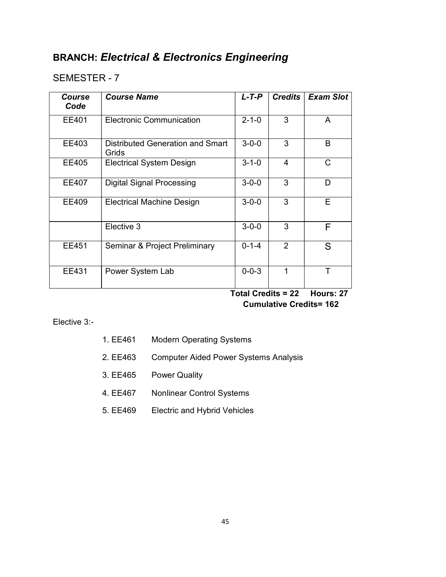### SEMESTER - 7

| <b>Course</b><br>Code | <b>Course Name</b>                        | $L$ -T-P                     | <b>Credits</b> | <b>Exam Slot</b> |
|-----------------------|-------------------------------------------|------------------------------|----------------|------------------|
| EE401                 | <b>Electronic Communication</b>           | $2 - 1 - 0$                  | 3              | A                |
| EE403                 | Distributed Generation and Smart<br>Grids | $3 - 0 - 0$                  | 3              | B                |
| <b>EE405</b>          | <b>Electrical System Design</b>           | $3 - 1 - 0$                  | $\overline{4}$ | С                |
| <b>EE407</b>          | <b>Digital Signal Processing</b>          | $3 - 0 - 0$                  | 3              | D                |
| EE409                 | <b>Electrical Machine Design</b>          | $3 - 0 - 0$                  | 3              | E                |
|                       | Elective 3                                | $3 - 0 - 0$                  | 3              | F                |
| EE451                 | Seminar & Project Preliminary             | $0 - 1 - 4$                  | $\overline{2}$ | S                |
| EE431                 | Power System Lab                          | $0 - 0 - 3$<br>$-1$ $-1$ $-$ | 1<br>.<br>^^   | Τ<br>.           |

 **Total Credits = 22 Hours: 27 Cumulative Credits= 162** 

#### Elective 3:-

| 1. EE461 | <b>Modern Operating Systems</b> |
|----------|---------------------------------|
|----------|---------------------------------|

- 2. EE463 Computer Aided Power Systems Analysis
- 3. EE465 Power Quality
- 4. EE467 Nonlinear Control Systems
- 5. EE469 Electric and Hybrid Vehicles